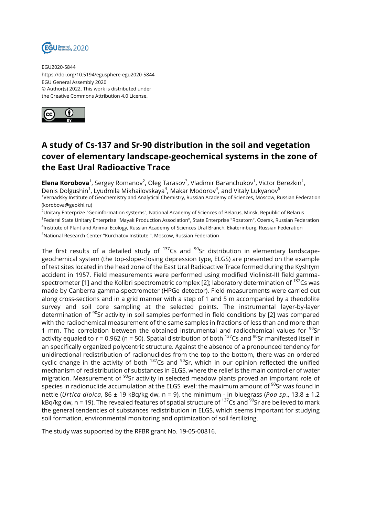

EGU2020-5844 https://doi.org/10.5194/egusphere-egu2020-5844 EGU General Assembly 2020 © Author(s) 2022. This work is distributed under the Creative Commons Attribution 4.0 License.



## **A study of Cs-137 and Sr-90 distribution in the soil and vegetation cover of elementary landscape-geochemical systems in the zone of the East Ural Radioactive Trace**

**Elena Korobova**<sup>1</sup>, Sergey Romanov<sup>2</sup>, Oleg Tarasov<sup>3</sup>, Vladimir Baranchukov<sup>1</sup>, Victor Berezkin<sup>1</sup>, Denis Dolgushin<sup>1</sup>, Lyudmila Mikhailovskaya<sup>4</sup>, Makar Modorov<sup>4</sup>, and Vitaly Lukyanov<sup>5</sup> 1 Vernadsky Institute of Geochemistry and Analytical Chemistry, Russian Academy of Sciences, Moscow, Russian Federation (korobova@geokhi.ru)

<sup>2</sup>Unitary Enterprize "Geoinformation systems", National Academy of Sciences of Belarus, Minsk, Republic of Belarus <sup>3</sup>Federal State Unitary Enterprise "Mayak Production Association", State Enterprise "Rosatom", Ozersk, Russian Federation 4 Institute of Plant and Animal Ecology, Russian Academy of Sciences Ural Branch, Ekaterinburg, Russian Federation <sup>5</sup>National Research Center "Kurchatov Institute ", Moscow, Russian Federation

The first results of a detailed study of  $137$ Cs and  $90$ Sr distribution in elementary landscapegeochemical system (the top-slope-closing depression type, ELGS) are presented on the example of test sites located in the head zone of the East Ural Radioactive Trace formed during the Kyshtym accident in 1957. Field measurements were performed using modified Violinist-III field gammaspectrometer [1] and the Kolibri spectrometric complex [2]; laboratory determination of  $^{137}$ Cs was made by Canberra gamma-spectrometer (HPGe detector). Field measurements were carried out along cross-sections and in a grid manner with a step of 1 and 5 m accompanied by a theodolite survey and soil core sampling at the selected points. The instrumental layer-by-layer determination of  $90$ Sr activity in soil samples performed in field conditions by [2] was compared with the radiochemical measurement of the same samples in fractions of less than and more than 1 mm. The correlation between the obtained instrumental and radiochemical values for  $90$ Sr activity equaled to  $r = 0.962$  (n = 50). Spatial distribution of both  $^{137}$ Cs and  $^{90}$ Sr manifested itself in an specifically organized polycentric structure. Against the absence of a pronounced tendency for unidirectional redistribution of radionuclides from the top to the bottom, there was an ordered cyclic change in the activity of both  $137$ Cs and  $90$ Sr, which in our opinion reflected the unified mechanism of redistribution of substances in ELGS, where the relief is the main controller of water migration. Measurement of <sup>90</sup>Sr activity in selected meadow plants proved an important role of species in radionuclide accumulation at the ELGS level: the maximum amount of  $90$ Sr was found in nettle (*Urtica dioica*, 86 ± 19 kBq/kg dw, n = 9), the minimum - in bluegrass (*Poa sp*., 13.8 ± 1.2 kBq/kg dw, n = 19). The revealed features of spatial structure of  $^{137}$ Cs and  $^{90}$ Sr are believed to mark the general tendencies of substances redistribution in ELGS, which seems important for studying soil formation, environmental monitoring and optimization of soil fertilizing.

The study was supported by the RFBR grant No. 19-05-00816.